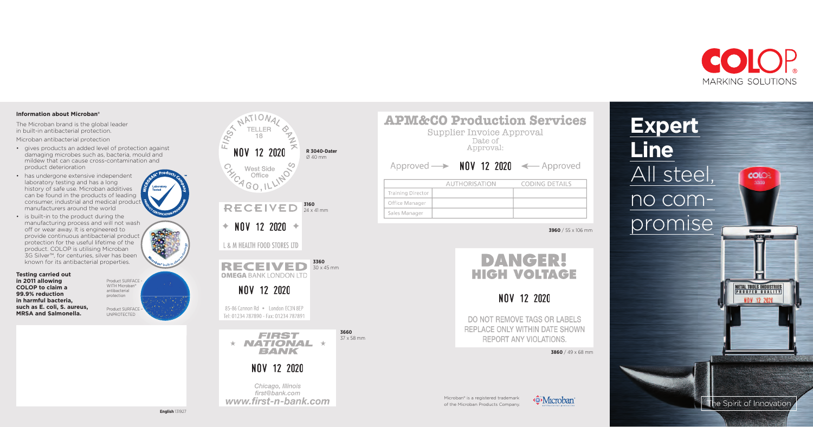**Expert Line** All steel, no compromise



|                          | Approved $\longrightarrow$ NOV 12 2020 $\longleftarrow$ Approved |                              |
|--------------------------|------------------------------------------------------------------|------------------------------|
|                          |                                                                  |                              |
|                          | <b>AUTHORISATION</b>                                             | <b>CODING DETAILS</b>        |
| <b>Training Director</b> |                                                                  |                              |
| Office Manager           |                                                                  |                              |
| Sales Manager            |                                                                  |                              |
|                          |                                                                  | 3960 / 55 x 106 mm<br>DANGER |
|                          |                                                                  | HIGH VOLTAGE                 |
|                          |                                                                  | NOV 12 2020                  |



Microban® is a registered trademark of the Microban Products Company.



## **Information about Microban®**

The Microban brand is the global leader in built-in antibacterial protection. Microban antibacterial protection

> METAL TOOLS INDUSTRIES PROOFED QUALITY

> > NOV 12 20

**COLOR** 3300

MARINESOTATION

- gives products an added level of protection against damaging microbes such as, bacteria, mould and mildew that can cause cross-contamination and product deterioration
- has undergone extensive independent laboratory testing and has a long history of safe use. Microban additives can be found in the products of leading consumer, industrial and medical product manufacturers around the world
- is built-in to the product during the manufacturing process and will not wash off or wear away. It is engineered to provide continuous antibacterial product protection for the useful lifetime of the product. COLOP is utilising Microban 3G Silver™, for centuries, silver has been known for its antibacterial properties.

**Testing carried out in 2011 allowing COLOP to claim a 99.9% reduction in harmful bacteria, such as E. coli, S. aureus, MRSA and Salmonella.**



33